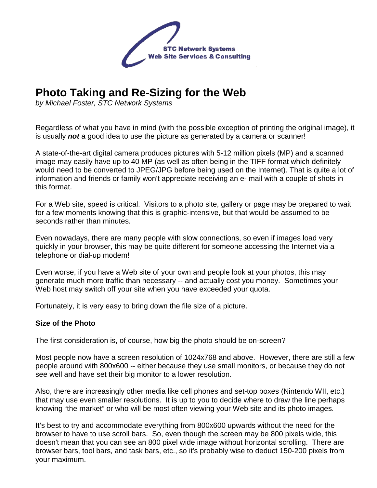

# **Photo Taking and Re-Sizing for the Web**

by Michael Foster, STC Network Systems

Regardless of what you have in mind (with the possible exception of printing the original image), it is usually **not** a good idea to use the picture as generated by a camera or scanner!

A state-of-the-art digital camera produces pictures with 5-12 million pixels (MP) and a scanned image may easily have up to 40 MP (as well as often being in the TIFF format which definitely would need to be converted to JPEG/JPG before being used on the Internet). That is quite a lot of information and friends or family won't appreciate receiving an e- mail with a couple of shots in this format.

For a Web site, speed is critical. Visitors to a photo site, gallery or page may be prepared to wait for a few moments knowing that this is graphic-intensive, but that would be assumed to be seconds rather than minutes.

Even nowadays, there are many people with slow connections, so even if images load very quickly in your browser, this may be quite different for someone accessing the Internet via a telephone or dial-up modem!

Even worse, if you have a Web site of your own and people look at your photos, this may generate much more traffic than necessary -- and actually cost you money. Sometimes your Web host may switch off your site when you have exceeded your quota.

Fortunately, it is very easy to bring down the file size of a picture.

#### **Size of the Photo**

The first consideration is, of course, how big the photo should be on-screen?

Most people now have a screen resolution of 1024x768 and above. However, there are still a few people around with 800x600 -- either because they use small monitors, or because they do not see well and have set their big monitor to a lower resolution.

Also, there are increasingly other media like cell phones and set-top boxes (Nintendo WII, etc.) that may use even smaller resolutions. It is up to you to decide where to draw the line perhaps knowing "the market" or who will be most often viewing your Web site and its photo images.

It's best to try and accommodate everything from 800x600 upwards without the need for the browser to have to use scroll bars. So, even though the screen may be 800 pixels wide, this doesn't mean that you can see an 800 pixel wide image without horizontal scrolling. There are browser bars, tool bars, and task bars, etc., so it's probably wise to deduct 150-200 pixels from your maximum.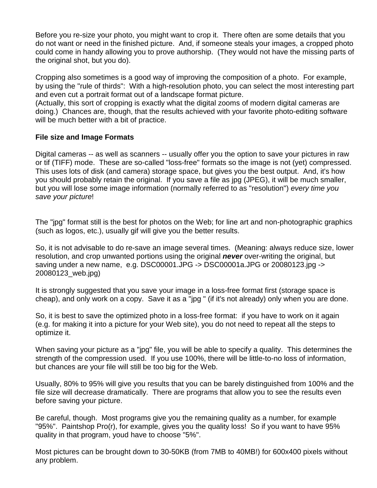Before you re-size your photo, you might want to crop it. There often are some details that you do not want or need in the finished picture. And, if someone steals your images, a cropped photo could come in handy allowing you to prove authorship. (They would not have the missing parts of the original shot, but you do).

Cropping also sometimes is a good way of improving the composition of a photo. For example, by using the "rule of thirds": With a high-resolution photo, you can select the most interesting part and even cut a portrait format out of a landscape format picture.

(Actually, this sort of cropping is exactly what the digital zooms of modern digital cameras are doing.) Chances are, though, that the results achieved with your favorite photo-editing software will be much better with a bit of practice.

## **File size and Image Formats**

Digital cameras -- as well as scanners -- usually offer you the option to save your pictures in raw or tif (TIFF) mode. These are so-called "loss-free" formats so the image is not (yet) compressed. This uses lots of disk (and camera) storage space, but gives you the best output. And, it's how you should probably retain the original. If you save a file as jpg (JPEG), it will be much smaller, but you will lose some image information (normally referred to as "resolution") every time you save your picture!

The "jpg" format still is the best for photos on the Web; for line art and non-photographic graphics (such as logos, etc.), usually gif will give you the better results.

So, it is not advisable to do re-save an image several times. (Meaning: always reduce size, lower resolution, and crop unwanted portions using the original **never** over-writing the original, but saving under a new name, e.g. DSC00001.JPG -> DSC00001a.JPG or 20080123.jpg -> 20080123\_web.jpg)

It is strongly suggested that you save your image in a loss-free format first (storage space is cheap), and only work on a copy. Save it as a "jpg " (if it's not already) only when you are done.

So, it is best to save the optimized photo in a loss-free format: if you have to work on it again (e.g. for making it into a picture for your Web site), you do not need to repeat all the steps to optimize it.

When saving your picture as a "jpg" file, you will be able to specify a quality. This determines the strength of the compression used. If you use 100%, there will be little-to-no loss of information, but chances are your file will still be too big for the Web.

Usually, 80% to 95% will give you results that you can be barely distinguished from 100% and the file size will decrease dramatically. There are programs that allow you to see the results even before saving your picture.

Be careful, though. Most programs give you the remaining quality as a number, for example "95%". Paintshop Pro(r), for example, gives you the quality loss! So if you want to have 95% quality in that program, youd have to choose "5%".

Most pictures can be brought down to 30-50KB (from 7MB to 40MB!) for 600x400 pixels without any problem.